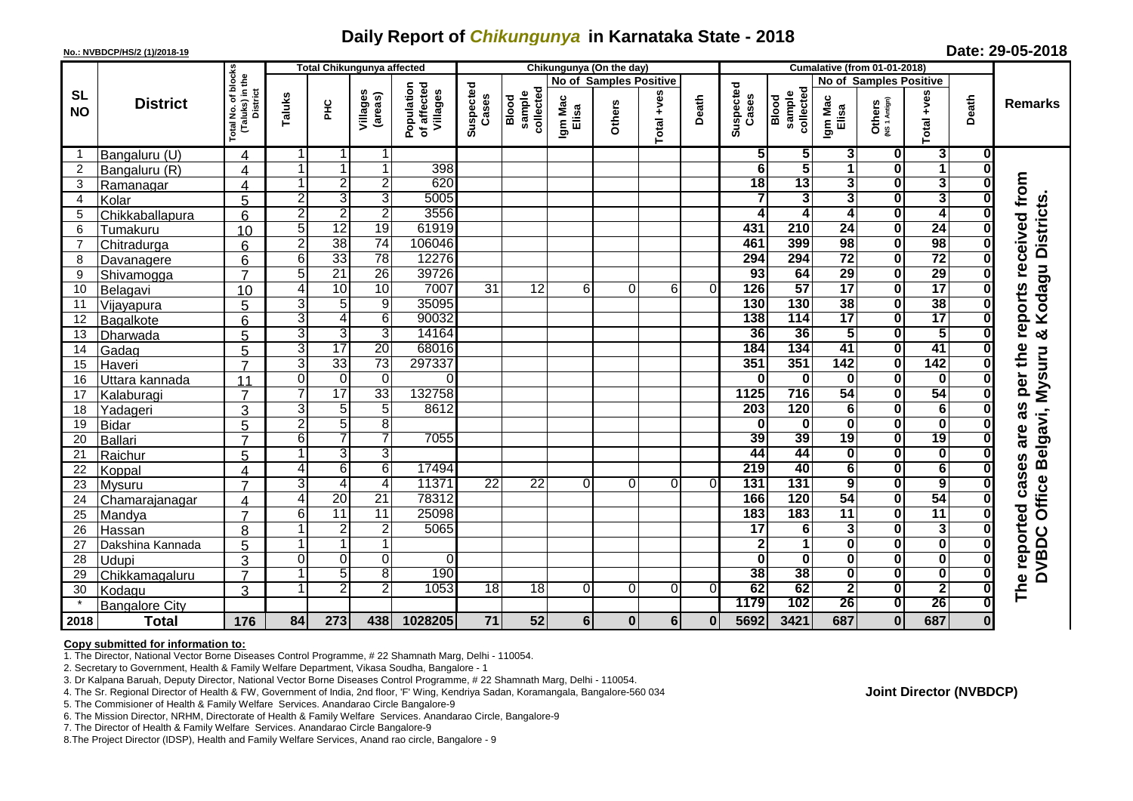## **Daily Report of** *Chikungunya* **in Karnataka State - 2018**

| Date: 29-05-2018<br>No.: NVBDCP/HS/2 (1)/2018-19 |                       |                                                                |                |                 |                                   |                                       |                    |                                     |                               |                          |                 |             |                                     |                              |                               |                         |                         |                         |                                   |
|--------------------------------------------------|-----------------------|----------------------------------------------------------------|----------------|-----------------|-----------------------------------|---------------------------------------|--------------------|-------------------------------------|-------------------------------|--------------------------|-----------------|-------------|-------------------------------------|------------------------------|-------------------------------|-------------------------|-------------------------|-------------------------|-----------------------------------|
|                                                  |                       |                                                                |                |                 | <b>Total Chikungunya affected</b> |                                       |                    |                                     |                               | Chikungunya (On the day) |                 |             | <b>Cumalative (from 01-01-2018)</b> |                              |                               |                         |                         |                         |                                   |
| <b>SL</b><br><b>NO</b>                           | <b>District</b>       |                                                                |                |                 |                                   |                                       |                    |                                     | <b>No of Samples Positive</b> |                          |                 |             |                                     |                              | <b>No of Samples Positive</b> |                         |                         |                         |                                   |
|                                                  |                       | otal No. of blocks<br>(Taluks) in the<br>District<br>Total No. | Taluks         | ЭH              | Villages<br>(areas)               | Population<br>of affected<br>Villages | Suspected<br>Cases | collected<br>sample<br><b>Blood</b> | Igm Mac<br>Elisa              | <b>Others</b>            | +ves<br>otal    | Death       | Suspected<br>Cases                  | collected<br>sample<br>Blood | Igm Mac<br>Elisa              | Others<br>(NS1 Antign)  | +ves<br>otal            | Death                   | <b>Remarks</b>                    |
| -1                                               | Bangaluru (U)         | 4                                                              |                | 11              | 1                                 |                                       |                    |                                     |                               |                          |                 |             | 5                                   | 5                            | 3                             | 0                       | 3                       | 0                       |                                   |
| $\overline{2}$                                   | Bangaluru (R)         | 4                                                              |                | $\mathbf{1}$    | $\overline{1}$                    | 398                                   |                    |                                     |                               |                          |                 |             | $\overline{\bf{6}}$                 | 5                            | 1                             | $\overline{\mathbf{0}}$ | $\overline{1}$          | $\bf{0}$                |                                   |
| 3                                                | Ramanagar             | $\overline{4}$                                                 |                | $\overline{2}$  | $\overline{2}$                    | 620                                   |                    |                                     |                               |                          |                 |             | $\overline{18}$                     | $\overline{13}$              | 3                             | 0                       | 3                       | $\bf{0}$                |                                   |
| 4                                                | Kolar                 | 5                                                              | $\overline{2}$ | 3               | 3                                 | 5005                                  |                    |                                     |                               |                          |                 |             | 7                                   | 3                            | $\overline{\mathbf{3}}$       | $\overline{\mathbf{0}}$ | 3                       | $\bf{0}$                |                                   |
| 5                                                | Chikkaballapura       | 6                                                              | $\overline{2}$ | $\overline{2}$  | $\overline{2}$                    | 3556                                  |                    |                                     |                               |                          |                 |             | 4                                   | 4                            | $\overline{\mathbf{4}}$       | $\overline{\mathbf{0}}$ | 4                       | 0                       |                                   |
| 6                                                | Tumakuru              | 10                                                             | 5              | 12              | 19                                | 61919                                 |                    |                                     |                               |                          |                 |             | 431                                 | 210                          | 24                            | $\overline{\mathbf{0}}$ | $\overline{24}$         | $\bf{0}$                | received from<br>Kodagu Districts |
| $\overline{7}$                                   | Chitradurga           | 6                                                              | $\overline{2}$ | 38              | 74                                | 106046                                |                    |                                     |                               |                          |                 |             | 461                                 | 399                          | 98                            | $\overline{\mathbf{0}}$ | 98                      | $\bf{0}$                |                                   |
| 8                                                | Davanagere            | 6                                                              | $\overline{6}$ | 33              | 78                                | 12276                                 |                    |                                     |                               |                          |                 |             | 294                                 | 294                          | $\overline{72}$               | $\overline{\mathbf{0}}$ | $\overline{72}$         | $\bf{0}$                |                                   |
| 9                                                | Shivamogga            | $\overline{7}$                                                 | 5              | 21              | 26                                | 39726                                 |                    |                                     |                               |                          |                 |             | 93                                  | 64                           | 29                            | $\overline{\mathbf{0}}$ | 29                      | $\bf{0}$                |                                   |
| 10                                               | Belagavi              | 10                                                             | 4              | 10              | 10                                | 7007                                  | 31                 | $\overline{12}$                     | 6                             | 0                        | 6               | $\Omega$    | 126                                 | 57                           | $\overline{17}$               | $\overline{\mathbf{0}}$ | $\overline{17}$         | $\overline{\mathbf{0}}$ | reports                           |
| 11                                               | Vijayapura            | 5                                                              | 3              | 5               | $\overline{9}$                    | 35095                                 |                    |                                     |                               |                          |                 |             | 130                                 | 130                          | 38                            | $\overline{\mathbf{0}}$ | 38                      | $\overline{\mathbf{0}}$ |                                   |
| 12                                               | Bagalkote             | 6                                                              | 3              | 4               | 6                                 | 90032                                 |                    |                                     |                               |                          |                 |             | 138                                 | 114                          | $\overline{17}$               | $\overline{\mathbf{0}}$ | $\overline{17}$         | $\bf{0}$                |                                   |
| 13                                               | Dharwada              | 5                                                              | 3              | $\overline{3}$  | 3                                 | 14164                                 |                    |                                     |                               |                          |                 |             | 36                                  | 36                           | $\overline{\mathbf{5}}$       | $\overline{\mathbf{0}}$ | $\overline{5}$          | $\bf{0}$                | ×                                 |
| 14                                               | Gadag                 | 5                                                              | 3              | 17              | 20                                | 68016                                 |                    |                                     |                               |                          |                 |             | 184                                 | 134                          | 41                            | $\overline{\mathbf{0}}$ | 41                      | 0                       |                                   |
| 15                                               | Haveri                | $\overline{7}$                                                 | $\overline{3}$ | 33              | 73                                | 297337                                |                    |                                     |                               |                          |                 |             | 351                                 | 351                          | 142                           | $\overline{\mathbf{0}}$ | 142                     | 0                       | per the                           |
| 16                                               | Uttara kannada        | 11                                                             | $\Omega$       | $\Omega$        | Ō                                 |                                       |                    |                                     |                               |                          |                 |             | 0                                   | $\mathbf{0}$                 | $\bf{0}$                      | $\mathbf 0$             | 0                       | $\bf{0}$                |                                   |
| 17                                               | Kalaburagi            | $\overline{7}$                                                 | 7              | $\overline{17}$ | 33                                | 132758                                |                    |                                     |                               |                          |                 |             | 1125                                | 716                          | 54                            | $\overline{\mathbf{o}}$ | 54                      | $\bf{0}$                |                                   |
| 18                                               | Yadageri              | 3                                                              | $\overline{3}$ | 5               | 5                                 | 8612                                  |                    |                                     |                               |                          |                 |             | 203                                 | 120                          | $\overline{6}$                | $\overline{\mathbf{0}}$ | 6                       | O                       | 8B                                |
| 19                                               | Bidar                 | 5                                                              | $\overline{2}$ | 5               | $\overline{8}$                    |                                       |                    |                                     |                               |                          |                 |             | $\bf{0}$                            | $\mathbf{0}$                 | $\bf{0}$                      | $\overline{\mathbf{0}}$ | $\bf{0}$                | $\bf{0}$                |                                   |
| 20                                               | Ballari               | $\overline{7}$                                                 | 6              | 7               | 7                                 | 7055                                  |                    |                                     |                               |                          |                 |             | 39                                  | 39                           | 19                            | $\overline{\mathbf{0}}$ | $\overline{19}$         | 0                       | Belgavi, Mysuru<br>are            |
| 21                                               | Raichur               | 5                                                              | 1              | 3               | $\overline{3}$                    |                                       |                    |                                     |                               |                          |                 |             | 44                                  | 44                           | 0                             | $\overline{\mathbf{0}}$ | $\bf{0}$                | $\bf{0}$                |                                   |
| 22                                               | Koppal                | $\boldsymbol{A}$                                               | 4              | 6               | 6                                 | 17494                                 |                    |                                     |                               |                          |                 |             | 219                                 | 40                           | 6                             | $\overline{\mathbf{0}}$ | 6                       | $\bf{0}$                |                                   |
| 23                                               | Mysuru                | $\overline{ }$                                                 | $\overline{3}$ | 4               | $\overline{4}$                    | 11371                                 | $\overline{22}$    | $\overline{22}$                     | 0                             | 0                        | 0               | $\Omega$    | 131                                 | 131                          | $\overline{9}$                | $\overline{\mathbf{0}}$ | $\overline{9}$          | $\bf{0}$                | Office                            |
| 24                                               | Chamarajanagar        | 4                                                              | 4              | $\overline{20}$ | 21                                | 78312                                 |                    |                                     |                               |                          |                 |             | 166                                 | 120                          | 54                            | $\overline{\mathbf{0}}$ | 54                      | $\bf{0}$                |                                   |
| 25                                               | Mandya                | $\overline{7}$                                                 | $6 \mid$       | $\overline{11}$ | 11                                | 25098                                 |                    |                                     |                               |                          |                 |             | 183                                 | 183                          | $\overline{11}$               | $\overline{\mathbf{0}}$ | $\overline{11}$         | $\bf{0}$                |                                   |
| 26                                               | Hassan                | 8                                                              |                | $\overline{2}$  | $\overline{2}$                    | 5065                                  |                    |                                     |                               |                          |                 |             | $\overline{17}$                     | $6\overline{6}$              | $\overline{\mathbf{3}}$       | $\overline{\mathbf{0}}$ | $\overline{\mathbf{3}}$ | $\bf{0}$                | <b>DVBDC</b>                      |
| 27                                               | Dakshina Kannada      | 5                                                              |                | 1               | $\overline{1}$                    |                                       |                    |                                     |                               |                          |                 |             | $\overline{\mathbf{2}}$             | 1                            | $\bf{0}$                      | $\overline{\mathbf{0}}$ | $\bf{0}$                | 0                       |                                   |
| 28                                               | <b>Udupi</b>          | 3                                                              | $\Omega$       | $\overline{0}$  | $\mathbf 0$                       | $\Omega$                              |                    |                                     |                               |                          |                 |             | 0                                   | $\mathbf{0}$                 | 0                             | 0                       | 0                       | $\bf{0}$                |                                   |
| 29                                               | Chikkamagaluru        | $\overline{7}$                                                 |                | 5               | $\overline{8}$                    | 190                                   |                    |                                     |                               |                          |                 |             | 38                                  | 38                           | 0                             | $\overline{\mathbf{o}}$ | 0                       | $\bf{0}$                | The reported cases                |
| 30                                               | Kodagu                | 3                                                              |                | $\overline{2}$  | $\overline{2}$                    | 1053                                  | $\overline{18}$    | $\overline{18}$                     | 0                             | $\Omega$                 | $\Omega$        | $\Omega$    | 62                                  | 62                           | $\overline{\mathbf{2}}$       | $\overline{\mathbf{0}}$ | $\overline{\mathbf{2}}$ | $\bf{0}$                |                                   |
| $\star$                                          | <b>Bangalore City</b> |                                                                |                |                 |                                   |                                       |                    |                                     |                               |                          |                 |             | 1179                                | 102                          | 26                            | $\overline{\mathbf{0}}$ | 26                      |                         |                                   |
| 2018                                             | <b>Total</b>          | 176                                                            | 84             | 273             | 438                               | 1028205                               | 71                 | 52                                  | $6\phantom{1}$                | $\mathbf 0$              | $6\phantom{1}6$ | $\mathbf 0$ | 5692                                | 3421                         | 687                           | $\mathbf{0}$            | 687                     | 0                       |                                   |

## **Copy submitted for information to:**

1. The Director, National Vector Borne Diseases Control Programme, # 22 Shamnath Marg, Delhi - 110054.

2. Secretary to Government, Health & Family Welfare Department, Vikasa Soudha, Bangalore - 1

3. Dr Kalpana Baruah, Deputy Director, National Vector Borne Diseases Control Programme, # 22 Shamnath Marg, Delhi - 110054.

5. The Commisioner of Health & Family Welfare Services. Anandarao Circle Bangalore-9

6. The Mission Director, NRHM, Directorate of Health & Family Welfare Services. Anandarao Circle, Bangalore-9

7. The Director of Health & Family Welfare Services. Anandarao Circle Bangalore-9

8.The Project Director (IDSP), Health and Family Welfare Services, Anand rao circle, Bangalore - 9

<sup>4.</sup> The Sr. Regional Director of Health & FW, Government of India, 2nd floor, 'F' Wing, Kendriya Sadan, Koramangala, Bangalore-560 034 **Joint Director (NVBDCP)**